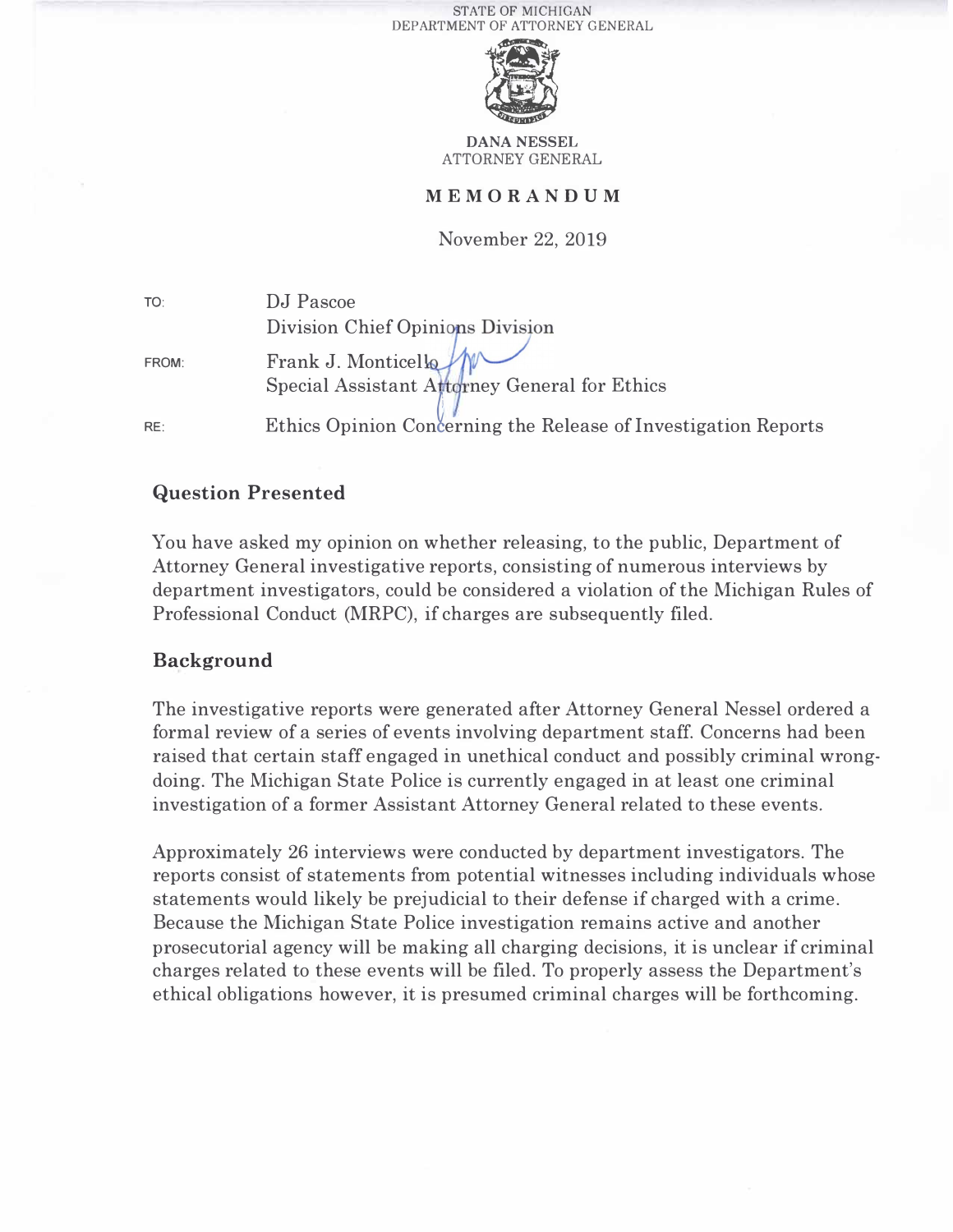

**DANA** NESSEL ATTORNEY GENERAL

#### **MEMORANDUM**

November 22, 2019

| TO:   | DJ Pascoe                                                      |
|-------|----------------------------------------------------------------|
|       | Division Chief Opinions Division                               |
| FROM: | Frank J. Monticella                                            |
|       | Special Assistant Attorney General for Ethics                  |
| RE:   | Ethics Opinion Concerning the Release of Investigation Reports |

## **Question Presented**

You have asked my opinion on whether releasing, to the public, Department of Attorney General investigative reports, consisting of numerous interviews by department investigators, could be considered a violation of the Michigan Rules of Professional Conduct (MRPC), if charges are subsequently filed.

## **Background**

The investigative reports were generated after Attorney General Nessel ordered a formal review of a series of events involving department staff. Concerns had been raised that certain staff engaged in unethical conduct and possibly criminal wrongdoing. The Michigan State Police is currently engaged in at least one criminal investigation of a former Assistant Attorney General related to these events.

Approximately 26 interviews were conducted by department investigators. The reports consist of statements from potential witnesses including individuals whose statements would likely be prejudicial to their defense if charged with a crime. Because the Michigan State Police investigation remains active and another prosecutorial agency will be making all charging decisions, it is unclear if criminal charges related to these events will be filed. To properly assess the Department's ethical obligations however, it is presumed criminal charges will be forthcoming.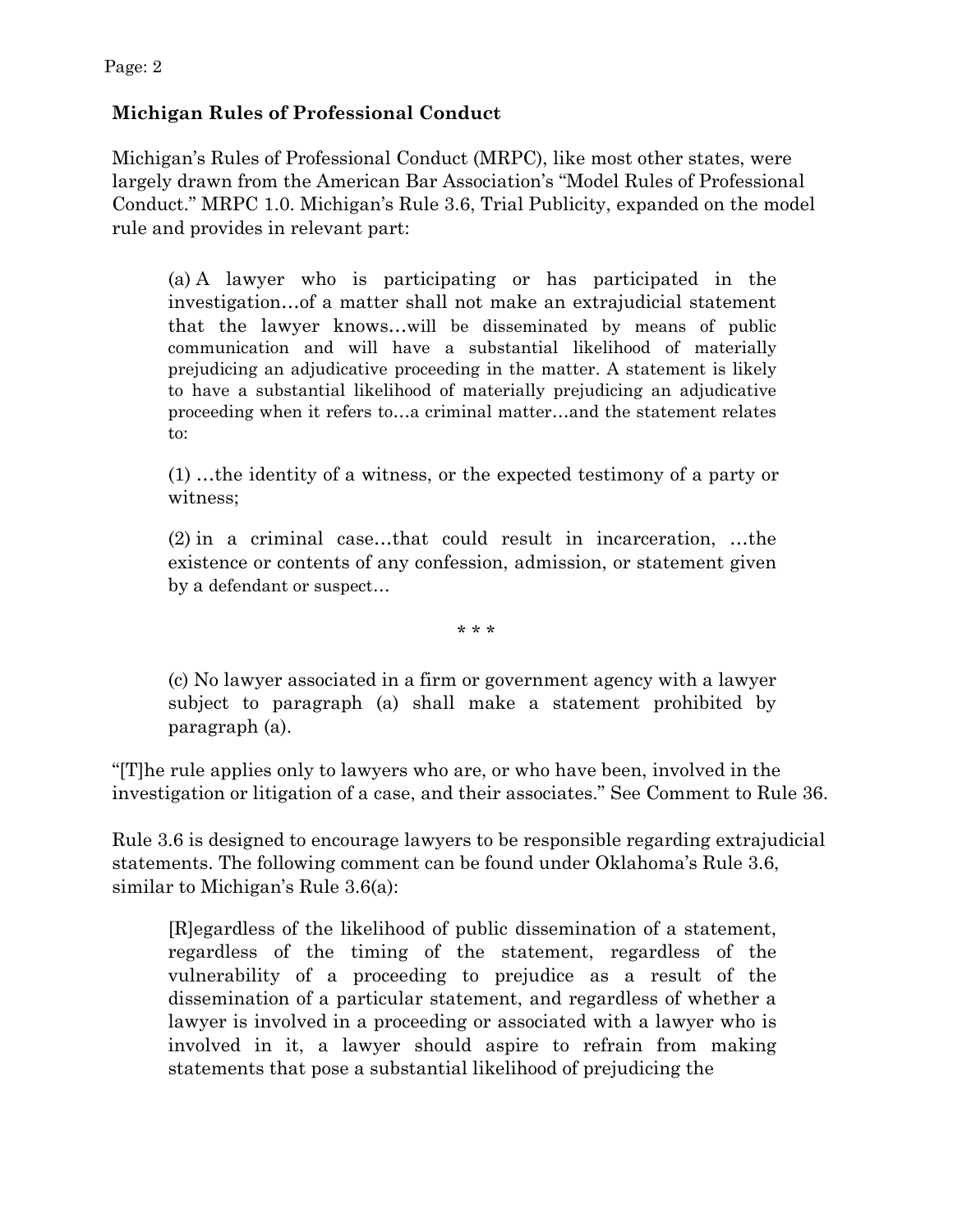# **Michigan Rules of Professional Conduct**

Michigan's Rules of Professional Conduct (MRPC), like most other states, were largely drawn from the American Bar Association's "Model Rules of Professional Conduct." MRPC 1.0. Michigan's Rule 3.6, Trial Publicity, expanded on the model rule and provides in relevant part:

(a) A lawyer who is participating or has participated in the investigation…of a matter shall not make an extrajudicial statement that the lawyer knows…will be disseminated by means of public communication and will have a substantial likelihood of materially prejudicing an adjudicative proceeding in the matter. A statement is likely to have a substantial likelihood of materially prejudicing an adjudicative proceeding when it refers to…a criminal matter…and the statement relates to:

(1) …the identity of a witness, or the expected testimony of a party or witness;

(2) in a criminal case…that could result in incarceration, …the existence or contents of any confession, admission, or statement given by a defendant or suspect…

\* \* \*

(c) No lawyer associated in a firm or government agency with a lawyer subject to paragraph (a) shall make a statement prohibited by paragraph (a).

"[T]he rule applies only to lawyers who are, or who have been, involved in the investigation or litigation of a case, and their associates." See Comment to Rule 36.

Rule 3.6 is designed to encourage lawyers to be responsible regarding extrajudicial statements. The following comment can be found under Oklahoma's Rule 3.6, similar to Michigan's Rule 3.6(a):

[R]egardless of the likelihood of public dissemination of a statement, regardless of the timing of the statement, regardless of the vulnerability of a proceeding to prejudice as a result of the dissemination of a particular statement, and regardless of whether a lawyer is involved in a proceeding or associated with a lawyer who is involved in it, a lawyer should aspire to refrain from making statements that pose a substantial likelihood of prejudicing the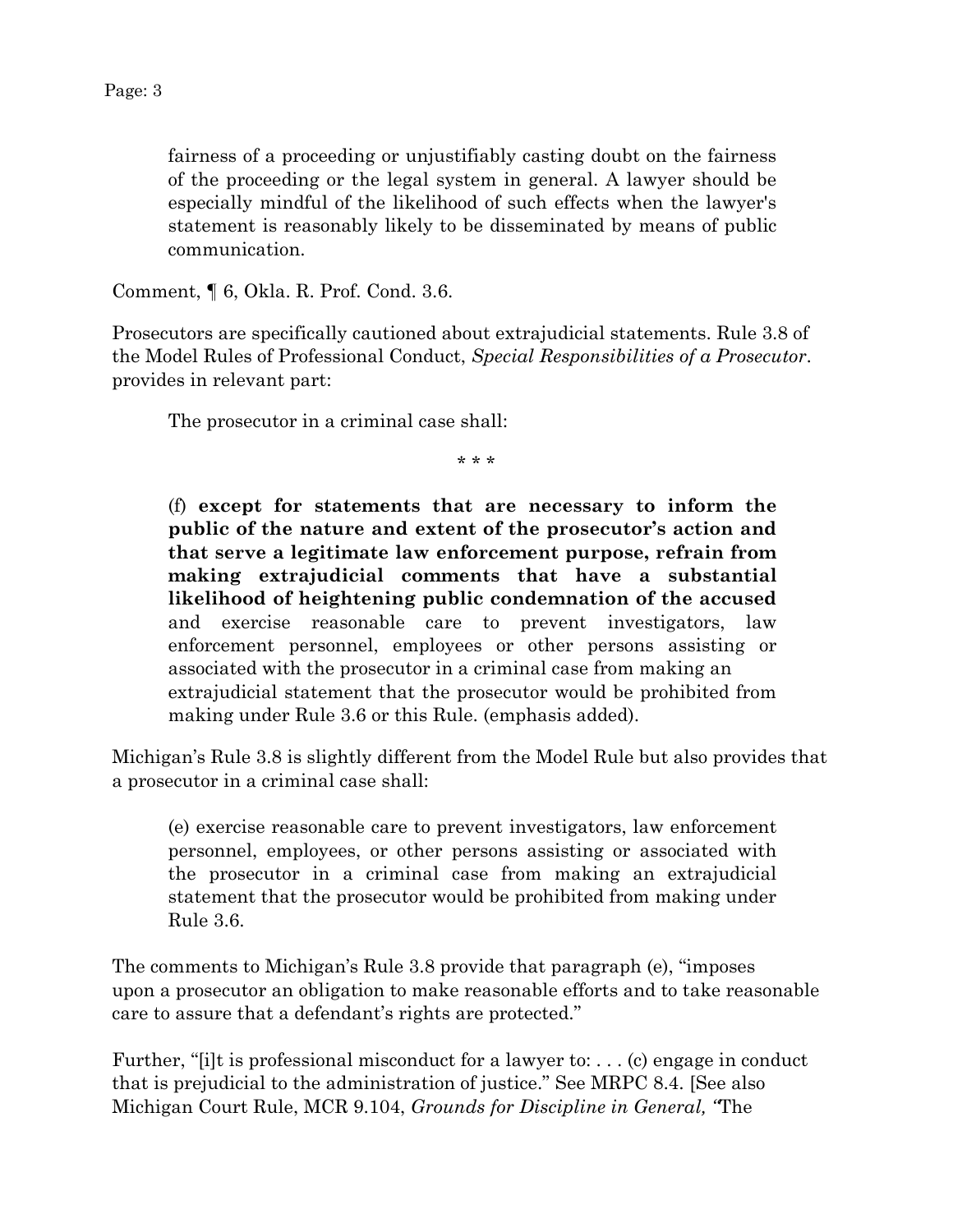fairness of a proceeding or unjustifiably casting doubt on the fairness of the proceeding or the legal system in general. A lawyer should be especially mindful of the likelihood of such effects when the lawyer's statement is reasonably likely to be disseminated by means of public communication.

Comment, ¶ 6, Okla. R. Prof. Cond. 3.6.

Prosecutors are specifically cautioned about extrajudicial statements. Rule 3.8 of the Model Rules of Professional Conduct, *Special Responsibilities of a Prosecutor*. provides in relevant part:

The prosecutor in a criminal case shall:

\* \* \*

(f) **except for statements that are necessary to inform the public of the nature and extent of the prosecutor's action and that serve a legitimate law enforcement purpose, refrain from making extrajudicial comments that have a substantial likelihood of heightening public condemnation of the accused**  and exercise reasonable care to prevent investigators, law enforcement personnel, employees or other persons assisting or associated with the prosecutor in a criminal case from making an extrajudicial statement that the prosecutor would be prohibited from making under Rule 3.6 or this Rule. (emphasis added).

Michigan's Rule 3.8 is slightly different from the Model Rule but also provides that a prosecutor in a criminal case shall:

(e) exercise reasonable care to prevent investigators, law enforcement personnel, employees, or other persons assisting or associated with the prosecutor in a criminal case from making an extrajudicial statement that the prosecutor would be prohibited from making under Rule 3.6.

The comments to Michigan's Rule 3.8 provide that paragraph (e), "imposes upon a prosecutor an obligation to make reasonable efforts and to take reasonable care to assure that a defendant's rights are protected."

Further, "[i]t is professional misconduct for a lawyer to: . . . (c) engage in conduct that is prejudicial to the administration of justice." See MRPC 8.4. [See also Michigan Court Rule, MCR 9.104, *Grounds for Discipline in General, "*The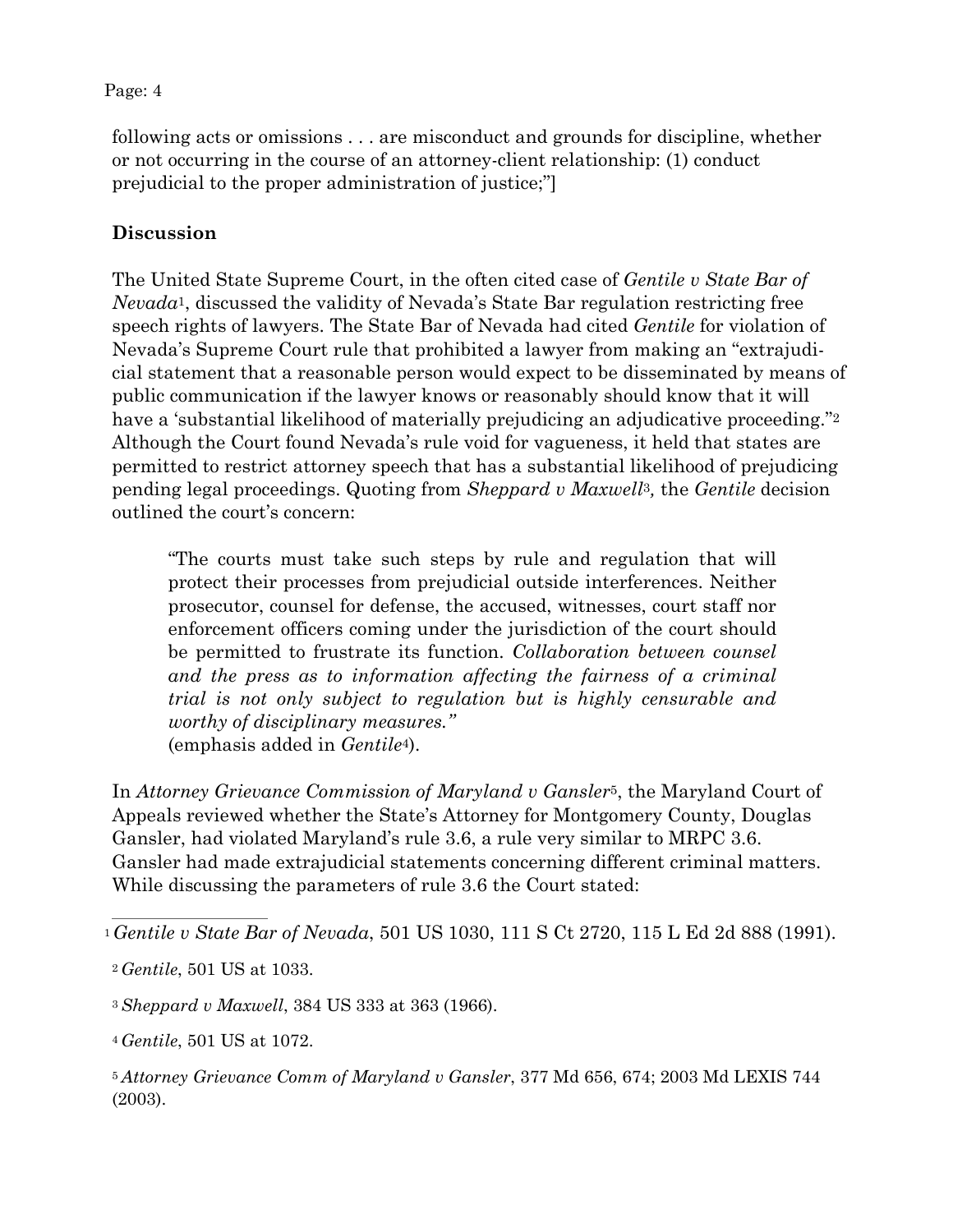#### Page: 4

following acts or omissions . . . are misconduct and grounds for discipline, whether or not occurring in the course of an attorney-client relationship: (1) conduct prejudicial to the proper administration of justice;"]

# **Discussion**

<span id="page-3-5"></span>The United State Supreme Court, in the often cited case of *Gentile v State Bar of Nevada*[1,](#page-3-0) discussed the validity of Nevada's State Bar regulation restricting free speech rights of lawyers. The State Bar of Nevada had cited *Gentile* for violation of Nevada's Supreme Court rule that prohibited a lawyer from making an "extrajudicial statement that a reasonable person would expect to be disseminated by means of public communication if the lawyer knows or reasonably should know that it will have a 'substantial likelihood of materially prejudicing an adjudicative proceeding."<sup>2</sup> Although the Court found Nevada's rule void for vagueness, it held that states are permitted to restrict attorney speech that has a substantial likelihood of prejudicing pending legal proceedings. Quoting from *Sheppard v Maxwell*[3](#page-3-2)*,* the *Gentile* decision outlined the court's concern:

<span id="page-3-9"></span><span id="page-3-7"></span><span id="page-3-6"></span>"The courts must take such steps by rule and regulation that will protect their processes from prejudicial outside interferences. Neither prosecutor, counsel for defense, the accused, witnesses, court staff nor enforcement officers coming under the jurisdiction of the court should be permitted to frustrate its function. *Collaboration between counsel and the press as to information affecting the fairness of a criminal trial is not only subject to regulation but is highly censurable and worthy of disciplinary measures."* (emphasis added in *Gentile*[4\)](#page-3-3).

<span id="page-3-8"></span>In *Attorney Grievance Commission of Maryland v Gansler*[5,](#page-3-4) the Maryland Court of Appeals reviewed whether the State's Attorney for Montgomery County, Douglas Gansler, had violated Maryland's rule 3.6, a rule very similar to MRPC 3.6. Gansler had made extrajudicial statements concerning different criminal matters. While discussing the parameters of rule 3.6 the Court stated:

<span id="page-3-3"></span>[4](#page-3-8) *Gentile*, 501 US at 1072.

<span id="page-3-0"></span>[<sup>1</sup>](#page-3-5) *Gentile v State Bar of Nevada*, 501 US 1030, 111 S Ct 2720, 115 L Ed 2d 888 (1991).

<span id="page-3-1"></span>[<sup>2</sup>](#page-3-6) *Gentile*, 501 US at 1033.

<span id="page-3-2"></span>[<sup>3</sup>](#page-3-7) *Sheppard v Maxwell*, 384 US 333 at 363 (1966).

<span id="page-3-4"></span>[<sup>5</sup>](#page-3-9) *Attorney Grievance Comm of Maryland v Gansler*, 377 Md 656, 674; 2003 Md LEXIS 744 (2003).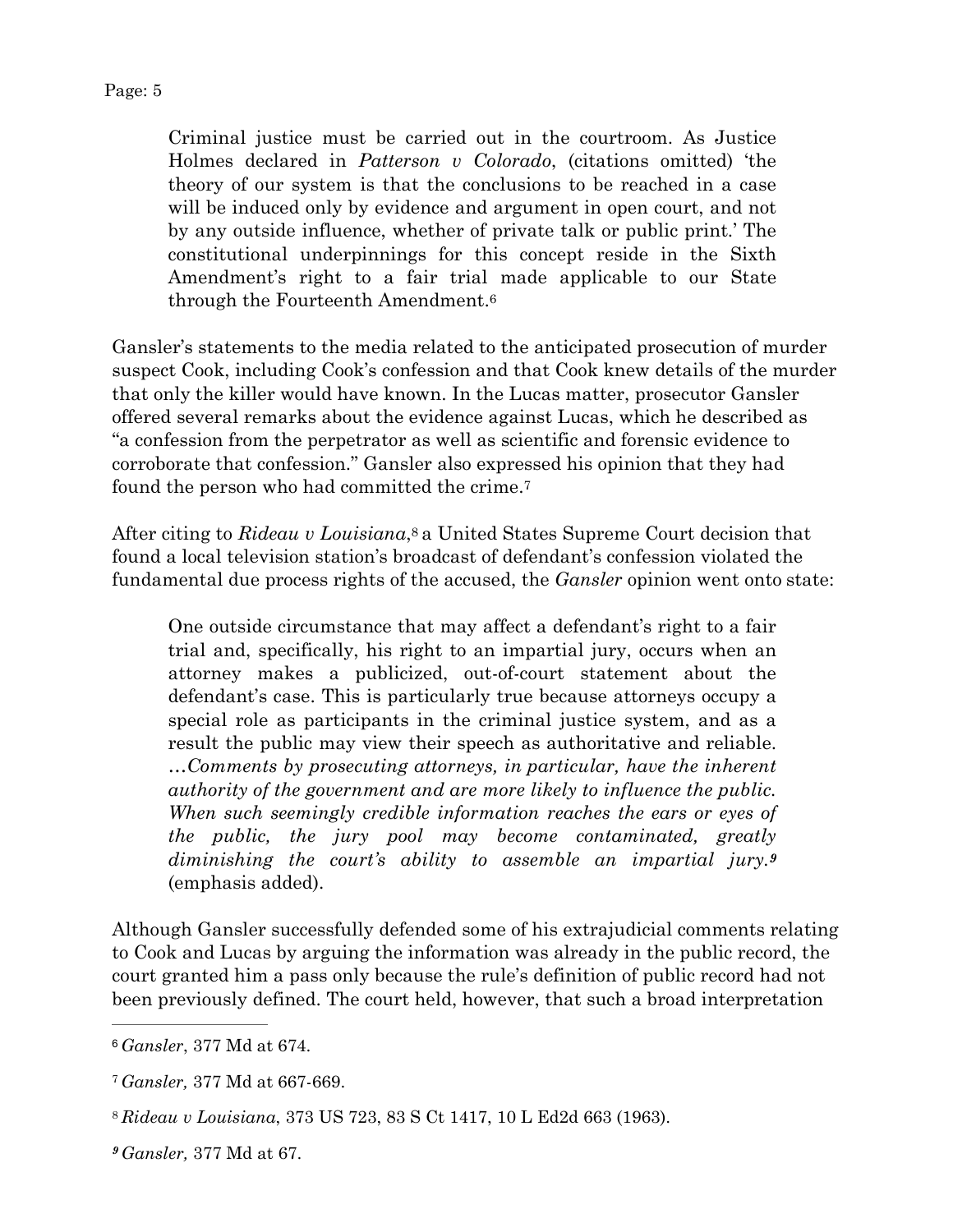<span id="page-4-4"></span>Criminal justice must be carried out in the courtroom. As Justice Holmes declared in *Patterson v Colorado*, (citations omitted) 'the theory of our system is that the conclusions to be reached in a case will be induced only by evidence and argument in open court, and not by any outside influence, whether of private talk or public print.' The constitutional underpinnings for this concept reside in the Sixth Amendment's right to a fair trial made applicable to our State through the Fourteenth Amendment[.6](#page-4-0)

Gansler's statements to the media related to the anticipated prosecution of murder suspect Cook, including Cook's confession and that Cook knew details of the murder that only the killer would have known. In the Lucas matter, prosecutor Gansler offered several remarks about the evidence against Lucas, which he described as "a confession from the perpetrator as well as scientific and forensic evidence to corroborate that confession." Gansler also expressed his opinion that they had found the person who had committed the crime[.7](#page-4-1)

After citing to *Rideau v Louisiana*[,8](#page-4-2) a United States Supreme Court decision that found a local television station's broadcast of defendant's confession violated the fundamental due process rights of the accused, the *Gansler* opinion went onto state:

<span id="page-4-7"></span><span id="page-4-6"></span><span id="page-4-5"></span>One outside circumstance that may affect a defendant's right to a fair trial and, specifically, his right to an impartial jury, occurs when an attorney makes a publicized, out-of-court statement about the defendant's case. This is particularly true because attorneys occupy a special role as participants in the criminal justice system, and as a result the public may view their speech as authoritative and reliable. …*Comments by prosecuting attorneys, in particular, have the inherent authority of the government and are more likely to influence the public. When such seemingly credible information reaches the ears or eyes of the public, the jury pool may become contaminated, greatly diminishing the court's ability to assemble an impartial jury.[9](#page-4-3)* (emphasis added).

Although Gansler successfully defended some of his extrajudicial comments relating to Cook and Lucas by arguing the information was already in the public record, the court granted him a pass only because the rule's definition of public record had not been previously defined. The court held, however, that such a broad interpretation

<span id="page-4-0"></span>[<sup>6</sup>](#page-4-4) *Gansler*, 377 Md at 674.

<span id="page-4-1"></span>[<sup>7</sup>](#page-4-5) *Gansler,* 377 Md at 667-669.

<span id="page-4-2"></span>[<sup>8</sup>](#page-4-6) *Rideau v Louisiana*, 373 US 723, 83 S Ct 1417, 10 L Ed2d 663 (1963).

<span id="page-4-3"></span>*[<sup>9</sup>](#page-4-7) Gansler,* 377 Md at 67.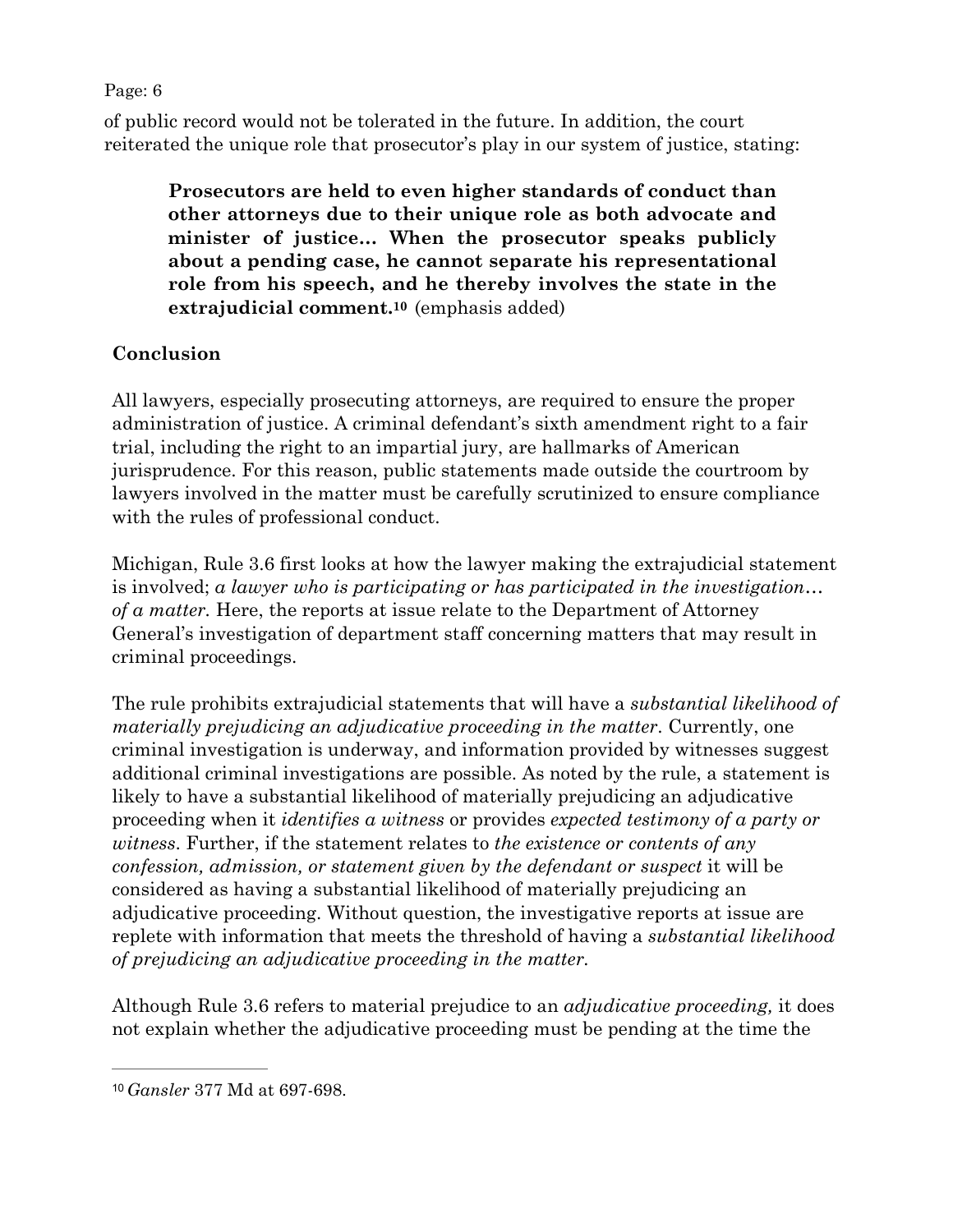Page: 6

of public record would not be tolerated in the future. In addition, the court reiterated the unique role that prosecutor's play in our system of justice, stating:

<span id="page-5-1"></span>**Prosecutors are held to even higher standards of conduct than other attorneys due to their unique role as both advocate and minister of justice… When the prosecutor speaks publicly about a pending case, he cannot separate his representational role from his speech, and he thereby involves the state in the extrajudicial comment[.10](#page-5-0)** (emphasis added)

# **Conclusion**

All lawyers, especially prosecuting attorneys, are required to ensure the proper administration of justice. A criminal defendant's sixth amendment right to a fair trial, including the right to an impartial jury, are hallmarks of American jurisprudence. For this reason, public statements made outside the courtroom by lawyers involved in the matter must be carefully scrutinized to ensure compliance with the rules of professional conduct.

Michigan, Rule 3.6 first looks at how the lawyer making the extrajudicial statement is involved; *a lawyer who is participating or has participated in the investigation… of a matter.* Here, the reports at issue relate to the Department of Attorney General's investigation of department staff concerning matters that may result in criminal proceedings.

The rule prohibits extrajudicial statements that will have a *substantial likelihood of materially prejudicing an adjudicative proceeding in the matter*. Currently, one criminal investigation is underway, and information provided by witnesses suggest additional criminal investigations are possible. As noted by the rule, a statement is likely to have a substantial likelihood of materially prejudicing an adjudicative proceeding when it *identifies a witness* or provides *expected testimony of a party or witness*. Further, if the statement relates to *the existence or contents of any confession, admission, or statement given by the defendant or suspect* it will be considered as having a substantial likelihood of materially prejudicing an adjudicative proceeding. Without question, the investigative reports at issue are replete with information that meets the threshold of having a *substantial likelihood of prejudicing an adjudicative proceeding in the matter.*

Although Rule 3.6 refers to material prejudice to an *adjudicative proceeding,* it does not explain whether the adjudicative proceeding must be pending at the time the

<span id="page-5-0"></span>[<sup>10</sup>](#page-5-1) *Gansler* 377 Md at 697-698.